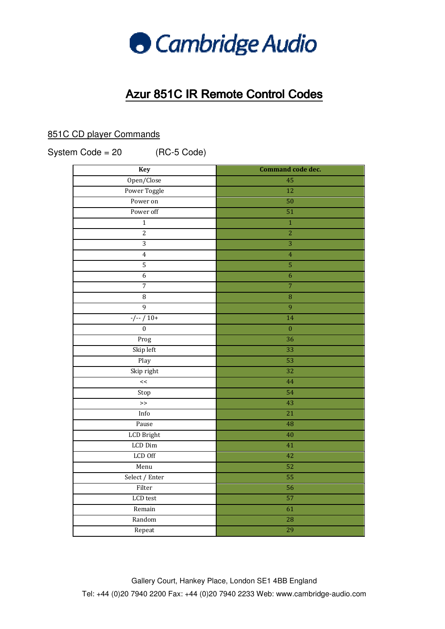

## Azur 851C 851C IR Remote Control Codes Codes

## 851C CD player Commands

System Code  $= 20$ 

(RC-5 Code)

| Key               | Command code dec.  |
|-------------------|--------------------|
| Open/Close        | 45                 |
| Power Toggle      | $\overline{12}$    |
| Power on          | 50                 |
| Power off         | 51                 |
| $\overline{1}$    | $\mathbf 1$        |
| $\overline{2}$    | $\overline{2}$     |
| $\overline{3}$    | $\overline{3}$     |
| $\overline{4}$    | $\overline{4}$     |
| $\overline{5}$    | 5                  |
| $\overline{6}$    | $\overline{6}$     |
| $\overline{7}$    | $\overline{7}$     |
| $\overline{8}$    | $\overline{\bf 8}$ |
| $\overline{9}$    | $\overline{9}$     |
| $-/- / 10+$       | $\overline{14}$    |
| $\boldsymbol{0}$  | $\boldsymbol{0}$   |
| Prog              | 36                 |
| Skip left         | 33                 |
| Play              | 53                 |
| Skip right        | 32                 |
| <<                | 44                 |
| Stop              | 54                 |
| $\gt$             | 43                 |
| Info              | $\overline{21}$    |
| Pause             | 48                 |
| <b>LCD</b> Bright | 40                 |
| LCD Dim           | 41                 |
| LCD Off           | 42                 |
| Menu              | 52                 |
| Select / Enter    | 55                 |
| Filter            | 56                 |
| LCD test          | 57                 |
| Remain            | 61                 |
| Random            | 28                 |
| Repeat            | 29                 |